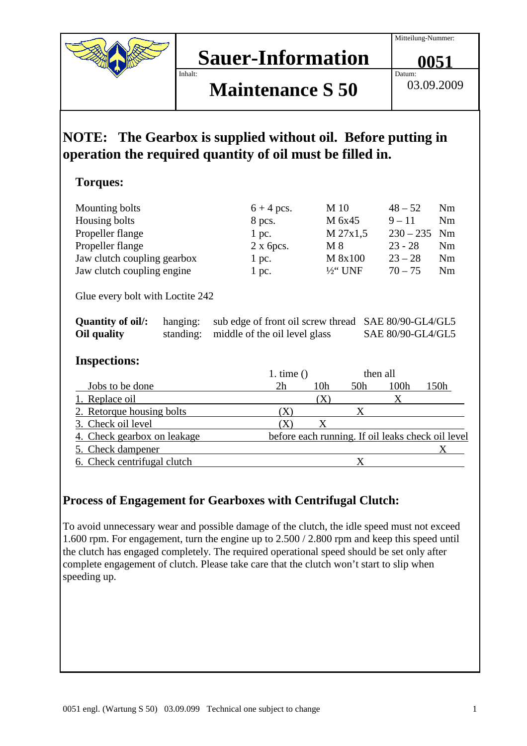Datum:

## **Sauer-Information** Inhalt:

# **Maintenance S 50**

03.09.2009

**0051**

# **NOTE: The Gearbox is supplied without oil. Before putting in operation the required quantity of oil must be filled in.**

#### **Torques:**

| Mounting bolts              | $6 + 4$ pcs.      | M 10                | $48 - 52$      | N <sub>m</sub> |
|-----------------------------|-------------------|---------------------|----------------|----------------|
| Housing bolts               | 8 pcs.            | M 6x45              | $9 - 11$       | N <sub>m</sub> |
| Propeller flange            | l pc.             | M 27x1,5            | $230 - 235$ Nm |                |
| Propeller flange            | $2 \times 6$ pcs. | M 8                 | $23 - 28$      | Nm             |
| Jaw clutch coupling gearbox | 1 pc.             | M 8x100             | $23 - 28$      | N <sub>m</sub> |
| Jaw clutch coupling engine  | l pc.             | $\frac{1}{2}$ " UNF | $70 - 75$      | N <sub>m</sub> |
|                             |                   |                     |                |                |

Glue every bolt with Loctite 242

| Quantity of oil: | hanging: sub edge of front oil screw thread SAE 80/90-GL4/GL5 |                   |
|------------------|---------------------------------------------------------------|-------------------|
| Oil quality      | standing: middle of the oil level glass                       | SAE 80/90-GL4/GL5 |

#### **Inspections:**

|                             | 1. time $()$ |     | then all |      |                                                   |
|-----------------------------|--------------|-----|----------|------|---------------------------------------------------|
| Jobs to be done             | 2h           | 10h | 50h      | 100h | 150h                                              |
| 1. Replace oil              |              | X   |          |      |                                                   |
| 2. Retorque housing bolts   |              |     |          |      |                                                   |
| 3. Check oil level          |              |     |          |      |                                                   |
| 4. Check gearbox on leakage |              |     |          |      | before each running. If oil leaks check oil level |
| 5. Check dampener           |              |     |          |      |                                                   |
| 6. Check centrifugal clutch |              |     |          |      |                                                   |

### **Process of Engagement for Gearboxes with Centrifugal Clutch:**

To avoid unnecessary wear and possible damage of the clutch, the idle speed must not exceed 1.600 rpm. For engagement, turn the engine up to 2.500 / 2.800 rpm and keep this speed until the clutch has engaged completely. The required operational speed should be set only after complete engagement of clutch. Please take care that the clutch won't start to slip when speeding up.